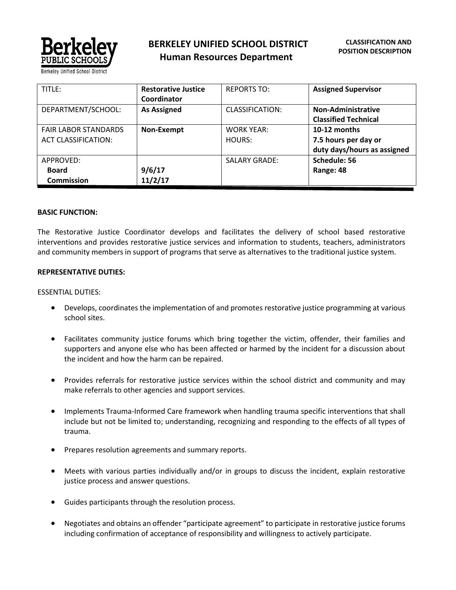

| TITLE:                      | <b>Restorative Justice</b> | <b>REPORTS TO:</b>   | <b>Assigned Supervisor</b>  |
|-----------------------------|----------------------------|----------------------|-----------------------------|
|                             | Coordinator                |                      |                             |
| DEPARTMENT/SCHOOL:          | <b>As Assigned</b>         | CLASSIFICATION:      | Non-Administrative          |
|                             |                            |                      | <b>Classified Technical</b> |
| <b>FAIR LABOR STANDARDS</b> | Non-Exempt                 | <b>WORK YEAR:</b>    | 10-12 months                |
| <b>ACT CLASSIFICATION:</b>  |                            | HOURS:               | 7.5 hours per day or        |
|                             |                            |                      | duty days/hours as assigned |
| APPROVED:                   |                            | <b>SALARY GRADE:</b> | Schedule: 56                |
| <b>Board</b>                | 9/6/17                     |                      | Range: 48                   |
| <b>Commission</b>           | 11/2/17                    |                      |                             |

#### **BASIC FUNCTION:**

The Restorative Justice Coordinator develops and facilitates the delivery of school based restorative interventions and provides restorative justice services and information to students, teachers, administrators and community members in support of programs that serve as alternatives to the traditional justice system.

#### **REPRESENTATIVE DUTIES:**

#### ESSENTIAL DUTIES:

- Develops, coordinates the implementation of and promotes restorative justice programming at various school sites.
- Facilitates community justice forums which bring together the victim, offender, their families and supporters and anyone else who has been affected or harmed by the incident for a discussion about the incident and how the harm can be repaired.
- Provides referrals for restorative justice services within the school district and community and may make referrals to other agencies and support services.
- Implements Trauma-Informed Care framework when handling trauma specific interventions that shall include but not be limited to; understanding, recognizing and responding to the effects of all types of trauma.
- Prepares resolution agreements and summary reports.
- Meets with various parties individually and/or in groups to discuss the incident, explain restorative justice process and answer questions.
- Guides participants through the resolution process.
- Negotiates and obtains an offender "participate agreement" to participate in restorative justice forums including confirmation of acceptance of responsibility and willingness to actively participate.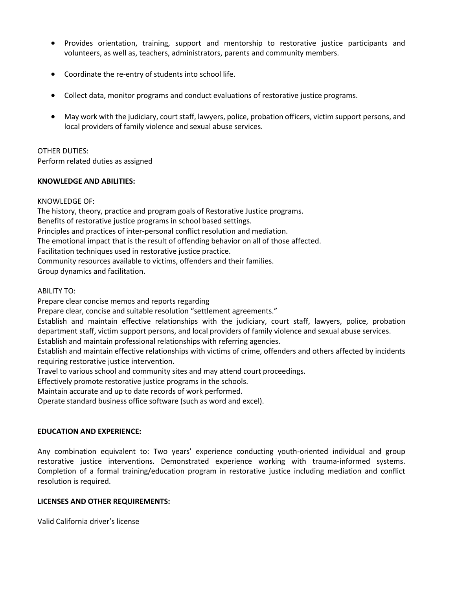- Provides orientation, training, support and mentorship to restorative justice participants and volunteers, as well as, teachers, administrators, parents and community members.
- Coordinate the re-entry of students into school life.
- Collect data, monitor programs and conduct evaluations of restorative justice programs.
- May work with the judiciary, court staff, lawyers, police, probation officers, victim support persons, and local providers of family violence and sexual abuse services.

### OTHER DUTIES: Perform related duties as assigned

#### **KNOWLEDGE AND ABILITIES:**

# KNOWLEDGE OF:

The history, theory, practice and program goals of Restorative Justice programs. Benefits of restorative justice programs in school based settings. Principles and practices of inter-personal conflict resolution and mediation. The emotional impact that is the result of offending behavior on all of those affected. Facilitation techniques used in restorative justice practice. Community resources available to victims, offenders and their families. Group dynamics and facilitation.

# ABILITY TO:

Prepare clear concise memos and reports regarding

Prepare clear, concise and suitable resolution "settlement agreements."

Establish and maintain effective relationships with the judiciary, court staff, lawyers, police, probation department staff, victim support persons, and local providers of family violence and sexual abuse services.

Establish and maintain professional relationships with referring agencies.

Establish and maintain effective relationships with victims of crime, offenders and others affected by incidents requiring restorative justice intervention.

Travel to various school and community sites and may attend court proceedings.

Effectively promote restorative justice programs in the schools.

Maintain accurate and up to date records of work performed.

Operate standard business office software (such as word and excel).

# **EDUCATION AND EXPERIENCE:**

Any combination equivalent to: Two years' experience conducting youth-oriented individual and group restorative justice interventions. Demonstrated experience working with trauma-informed systems. Completion of a formal training/education program in restorative justice including mediation and conflict resolution is required.

# **LICENSES AND OTHER REQUIREMENTS:**

Valid California driver's license